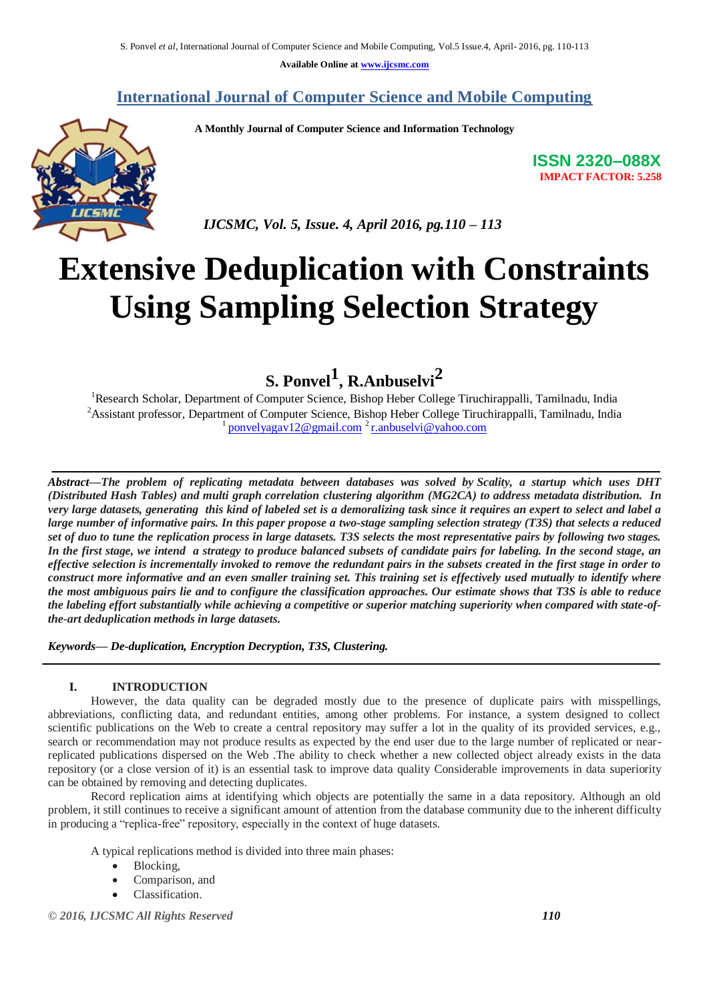**Available Online at [www.ijcsmc.com](http://www.ijcsmc.com/)**

# **International Journal of Computer Science and Mobile Computing**

 **A Monthly Journal of Computer Science and Information Technology**



 *IJCSMC, Vol. 5, Issue. 4, April 2016, pg.110 – 113*

# **Extensive Deduplication with Constraints Using Sampling Selection Strategy**

**S. Ponvel<sup>1</sup> , R.Anbuselvi<sup>2</sup>**

<sup>1</sup>Research Scholar, Department of Computer Science, Bishop Heber College Tiruchirappalli, Tamilnadu, India <sup>2</sup>Assistant professor, Department of Computer Science, Bishop Heber College Tiruchirappalli, Tamilnadu, India <sup>1</sup> [ponvelyagav12@gmail.com](mailto:ponvelyagav12@gmail.com)<sup>2</sup> [r.anbuselvi@yahoo.com](mailto:r.anbuselvi@yahoo.com)

*Abstract—The problem of replicating metadata between databases was solved by Scality, a startup which uses DHT (Distributed Hash Tables) and multi graph correlation clustering algorithm (MG2CA) to address metadata distribution. In very large datasets, generating this kind of labeled set is a demoralizing task since it requires an expert to select and label a large number of informative pairs. In this paper propose a two-stage sampling selection strategy (T3S) that selects a reduced set of duo to tune the replication process in large datasets. T3S selects the most representative pairs by following two stages. In the first stage, we intend a strategy to produce balanced subsets of candidate pairs for labeling. In the second stage, an effective selection is incrementally invoked to remove the redundant pairs in the subsets created in the first stage in order to construct more informative and an even smaller training set. This training set is effectively used mutually to identify where the most ambiguous pairs lie and to configure the classification approaches. Our estimate shows that T3S is able to reduce the labeling effort substantially while achieving a competitive or superior matching superiority when compared with state-ofthe-art deduplication methods in large datasets.*

*Keywords— De-duplication, Encryption Decryption, T3S, Clustering.*

# **I. INTRODUCTION**

However, the data quality can be degraded mostly due to the presence of duplicate pairs with misspellings, abbreviations, conflicting data, and redundant entities, among other problems. For instance, a system designed to collect scientific publications on the Web to create a central repository may suffer a lot in the quality of its provided services, e.g., search or recommendation may not produce results as expected by the end user due to the large number of replicated or nearreplicated publications dispersed on the Web .The ability to check whether a new collected object already exists in the data repository (or a close version of it) is an essential task to improve data quality Considerable improvements in data superiority can be obtained by removing and detecting duplicates.

Record replication aims at identifying which objects are potentially the same in a data repository. Although an old problem, it still continues to receive a significant amount of attention from the database community due to the inherent difficulty in producing a "replica-free" repository, especially in the context of huge datasets.

A typical replications method is divided into three main phases:

- Blocking,
- Comparison, and
- Classification.

*© 2016, IJCSMC All Rights Reserved 110*

**ISSN 2320–088X IMPACT FACTOR: 5.258**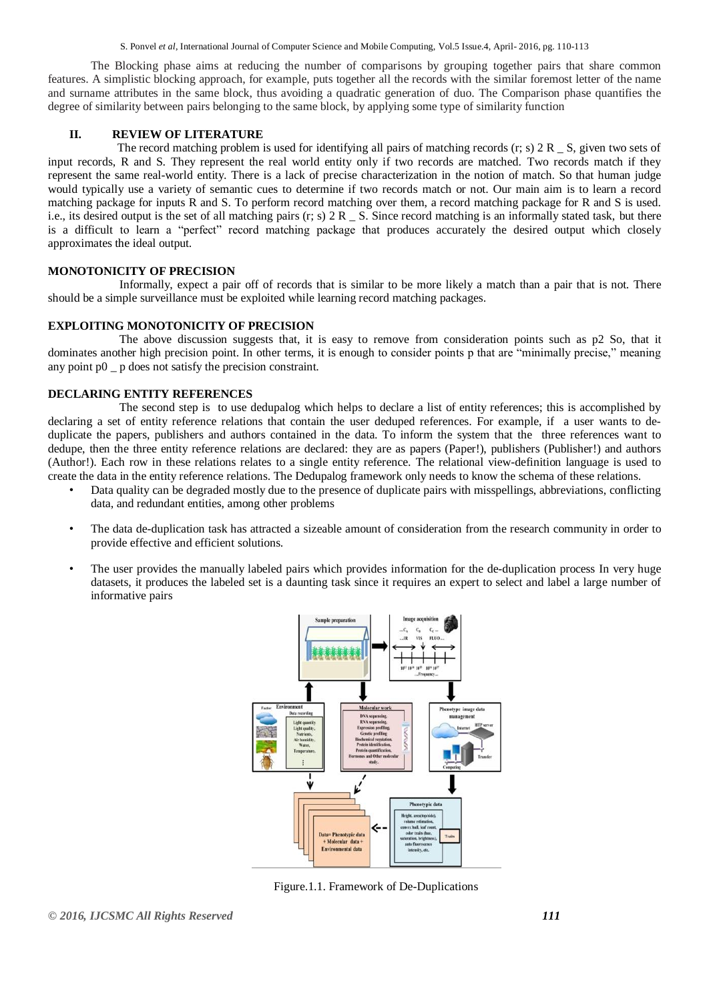S. Ponvel *et al*, International Journal of Computer Science and Mobile Computing, Vol.5 Issue.4, April- 2016, pg. 110-113

The Blocking phase aims at reducing the number of comparisons by grouping together pairs that share common features. A simplistic blocking approach, for example, puts together all the records with the similar foremost letter of the name and surname attributes in the same block, thus avoiding a quadratic generation of duo. The Comparison phase quantifies the degree of similarity between pairs belonging to the same block, by applying some type of similarity function

# **II. REVIEW OF LITERATURE**

The record matching problem is used for identifying all pairs of matching records  $(r; s)$  2 R  $\leq$  S, given two sets of input records, R and S. They represent the real world entity only if two records are matched. Two records match if they represent the same real-world entity. There is a lack of precise characterization in the notion of match. So that human judge would typically use a variety of semantic cues to determine if two records match or not. Our main aim is to learn a record matching package for inputs R and S. To perform record matching over them, a record matching package for R and S is used. i.e., its desired output is the set of all matching pairs  $(r; s)$  2 R  $\;$  S. Since record matching is an informally stated task, but there is a difficult to learn a "perfect" record matching package that produces accurately the desired output which closely approximates the ideal output.

# **MONOTONICITY OF PRECISION**

Informally, expect a pair off of records that is similar to be more likely a match than a pair that is not. There should be a simple surveillance must be exploited while learning record matching packages.

### **EXPLOITING MONOTONICITY OF PRECISION**

The above discussion suggests that, it is easy to remove from consideration points such as  $p2$  So, that it dominates another high precision point. In other terms, it is enough to consider points p that are "minimally precise," meaning any point p0 \_ p does not satisfy the precision constraint.

# **DECLARING ENTITY REFERENCES**

The second step is to use dedupalog which helps to declare a list of entity references; this is accomplished by declaring a set of entity reference relations that contain the user deduped references. For example, if a user wants to deduplicate the papers, publishers and authors contained in the data. To inform the system that the three references want to dedupe, then the three entity reference relations are declared: they are as papers (Paper!), publishers (Publisher!) and authors (Author!). Each row in these relations relates to a single entity reference. The relational view-definition language is used to create the data in the entity reference relations. The Dedupalog framework only needs to know the schema of these relations.

- Data quality can be degraded mostly due to the presence of duplicate pairs with misspellings, abbreviations, conflicting data, and redundant entities, among other problems
- The data de-duplication task has attracted a sizeable amount of consideration from the research community in order to provide effective and efficient solutions.
- The user provides the manually labeled pairs which provides information for the de-duplication process In very huge datasets, it produces the labeled set is a daunting task since it requires an expert to select and label a large number of informative pairs



Figure.1.1. Framework of De-Duplications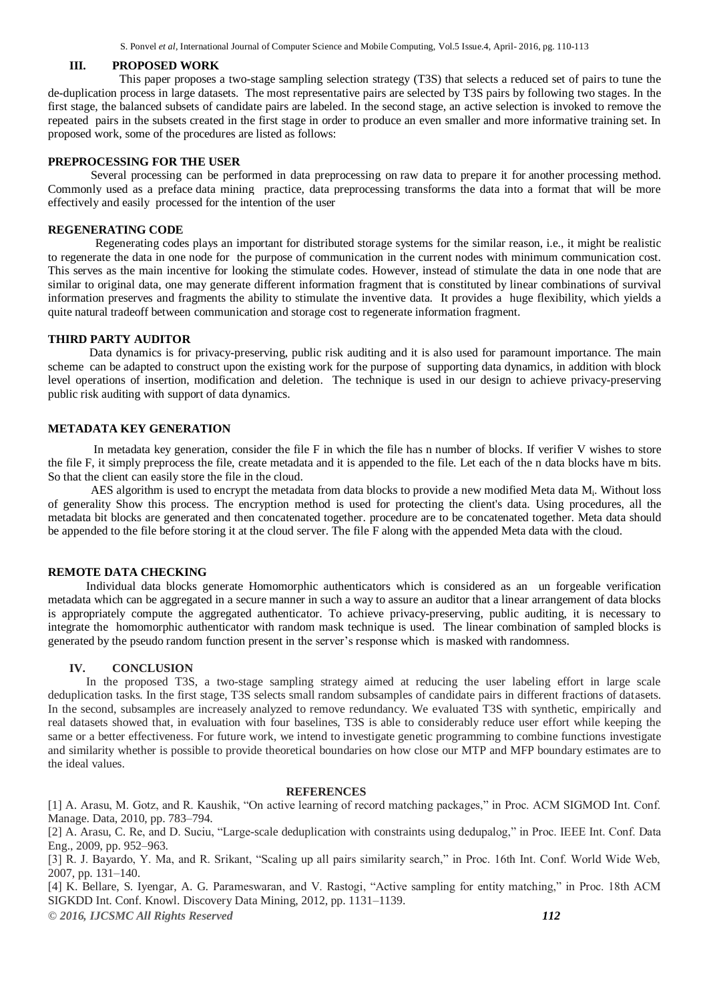S. Ponvel *et al*, International Journal of Computer Science and Mobile Computing, Vol.5 Issue.4, April- 2016, pg. 110-113

#### **III. PROPOSED WORK**

This paper proposes a two-stage sampling selection strategy (T3S) that selects a reduced set of pairs to tune the de-duplication process in large datasets. The most representative pairs are selected by T3S pairs by following two stages. In the first stage, the balanced subsets of candidate pairs are labeled. In the second stage, an active selection is invoked to remove the repeated pairs in the subsets created in the first stage in order to produce an even smaller and more informative training set. In proposed work, some of the procedures are listed as follows:

#### **PREPROCESSING FOR THE USER**

Several processing can be performed in data preprocessing on raw data to prepare it for another processing method. Commonly used as a preface data mining practice, data preprocessing transforms the data into a format that will be more effectively and easily processed for the intention of the user

#### **REGENERATING CODE**

 Regenerating codes plays an important for distributed storage systems for the similar reason, i.e., it might be realistic to regenerate the data in one node for the purpose of communication in the current nodes with minimum communication cost. This serves as the main incentive for looking the stimulate codes. However, instead of stimulate the data in one node that are similar to original data, one may generate different information fragment that is constituted by linear combinations of survival information preserves and fragments the ability to stimulate the inventive data. It provides a huge flexibility, which yields a quite natural tradeoff between communication and storage cost to regenerate information fragment.

#### **THIRD PARTY AUDITOR**

 Data dynamics is for privacy-preserving, public risk auditing and it is also used for paramount importance. The main scheme can be adapted to construct upon the existing work for the purpose of supporting data dynamics, in addition with block level operations of insertion, modification and deletion. The technique is used in our design to achieve privacy-preserving public risk auditing with support of data dynamics.

#### **METADATA KEY GENERATION**

In metadata key generation, consider the file F in which the file has n number of blocks. If verifier V wishes to store the file F, it simply preprocess the file, create metadata and it is appended to the file. Let each of the n data blocks have m bits. So that the client can easily store the file in the cloud.

AES algorithm is used to encrypt the metadata from data blocks to provide a new modified Meta data M<sub>i</sub>. Without loss of generality Show this process. The encryption method is used for protecting the client's data. Using procedures, all the metadata bit blocks are generated and then concatenated together. procedure are to be concatenated together. Meta data should be appended to the file before storing it at the cloud server. The file F along with the appended Meta data with the cloud.

#### **REMOTE DATA CHECKING**

 Individual data blocks generate Homomorphic authenticators which is considered as an un forgeable verification metadata which can be aggregated in a secure manner in such a way to assure an auditor that a linear arrangement of data blocks is appropriately compute the aggregated authenticator. To achieve privacy-preserving, public auditing, it is necessary to integrate the homomorphic authenticator with random mask technique is used. The linear combination of sampled blocks is generated by the pseudo random function present in the server's response which is masked with randomness.

#### **IV. CONCLUSION**

 In the proposed T3S, a two-stage sampling strategy aimed at reducing the user labeling effort in large scale deduplication tasks. In the first stage, T3S selects small random subsamples of candidate pairs in different fractions of datasets. In the second, subsamples are increasely analyzed to remove redundancy. We evaluated T3S with synthetic, empirically and real datasets showed that, in evaluation with four baselines, T3S is able to considerably reduce user effort while keeping the same or a better effectiveness. For future work, we intend to investigate genetic programming to combine functions investigate and similarity whether is possible to provide theoretical boundaries on how close our MTP and MFP boundary estimates are to the ideal values.

#### **REFERENCES**

[1] A. Arasu, M. Gotz, and R. Kaushik, "On active learning of record matching packages," in Proc. ACM SIGMOD Int. Conf. Manage. Data, 2010, pp. 783–794.

[2] A. Arasu, C. Re, and D. Suciu, "Large-scale deduplication with constraints using dedupalog," in Proc. IEEE Int. Conf. Data Eng., 2009, pp. 952–963.

[3] R. J. Bayardo, Y. Ma, and R. Srikant, "Scaling up all pairs similarity search," in Proc. 16th Int. Conf. World Wide Web, 2007, pp. 131–140.

*© 2016, IJCSMC All Rights Reserved 112* [4] K. Bellare, S. Iyengar, A. G. Parameswaran, and V. Rastogi, "Active sampling for entity matching," in Proc. 18th ACM SIGKDD Int. Conf. Knowl. Discovery Data Mining, 2012, pp. 1131–1139.